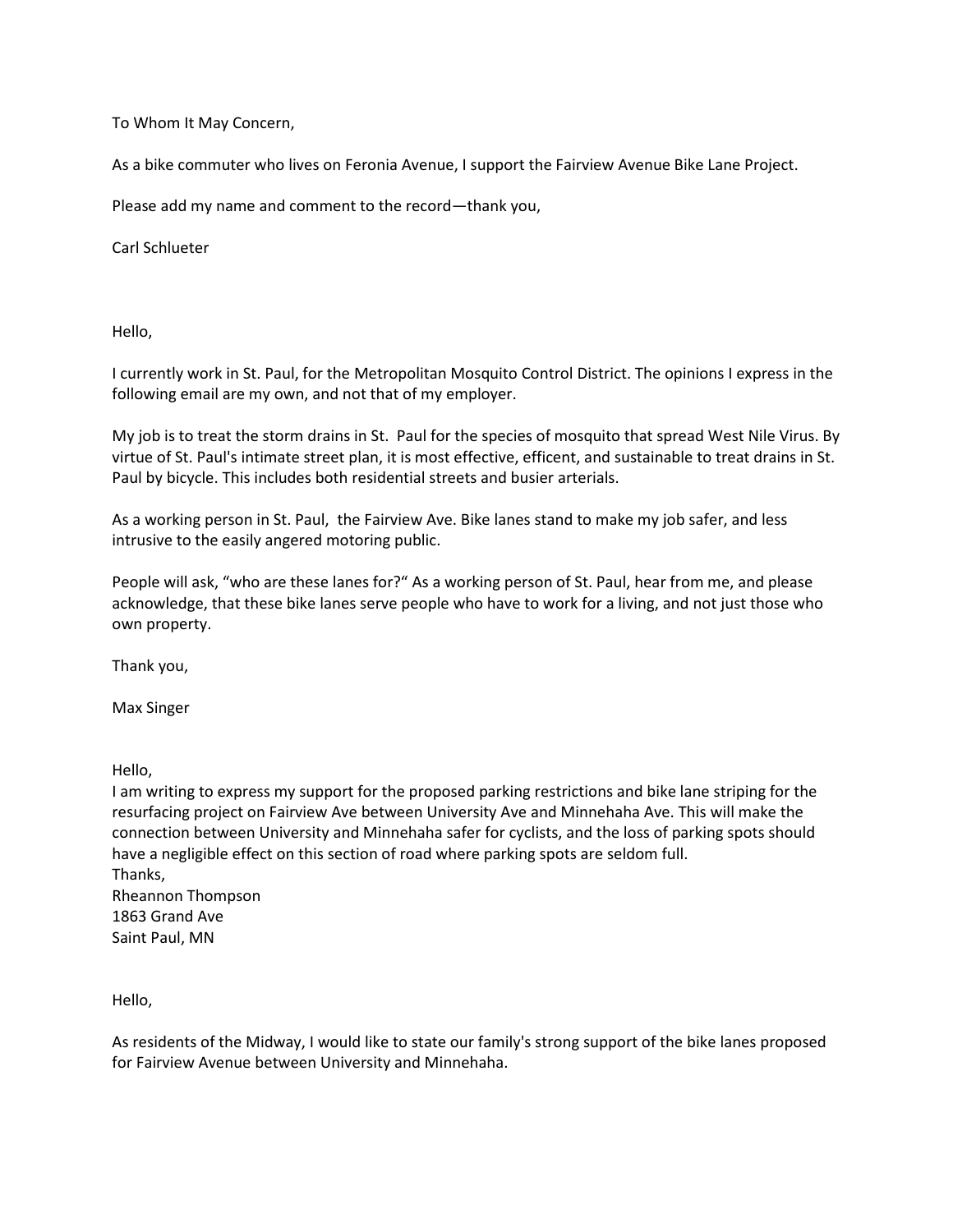To Whom It May Concern,

As a bike commuter who lives on Feronia Avenue, I support the Fairview Avenue Bike Lane Project.

Please add my name and comment to the record—thank you,

Carl Schlueter

Hello,

I currently work in St. Paul, for the Metropolitan Mosquito Control District. The opinions I express in the following email are my own, and not that of my employer.

My job is to treat the storm drains in St. Paul for the species of mosquito that spread West Nile Virus. By virtue of St. Paul's intimate street plan, it is most effective, efficent, and sustainable to treat drains in St. Paul by bicycle. This includes both residential streets and busier arterials.

As a working person in St. Paul, the Fairview Ave. Bike lanes stand to make my job safer, and less intrusive to the easily angered motoring public.

People will ask, "who are these lanes for?" As a working person of St. Paul, hear from me, and please acknowledge, that these bike lanes serve people who have to work for a living, and not just those who own property.

Thank you,

Max Singer

Hello,

I am writing to express my support for the proposed parking restrictions and bike lane striping for the resurfacing project on Fairview Ave between University Ave and Minnehaha Ave. This will make the connection between University and Minnehaha safer for cyclists, and the loss of parking spots should have a negligible effect on this section of road where parking spots are seldom full. Thanks, Rheannon Thompson 1863 Grand Ave Saint Paul, MN

Hello,

As residents of the Midway, I would like to state our family's strong support of the bike lanes proposed for Fairview Avenue between University and Minnehaha.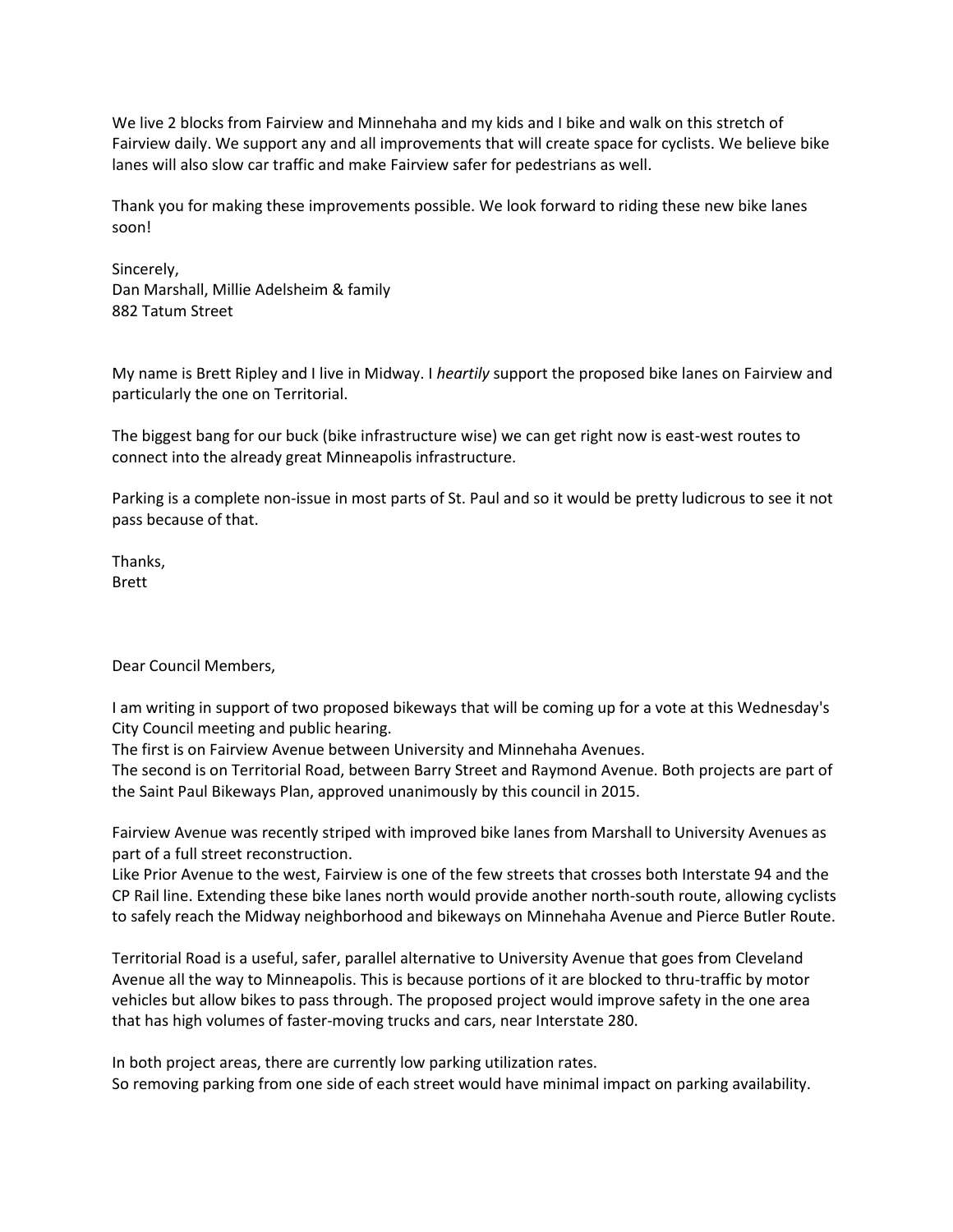We live 2 blocks from Fairview and Minnehaha and my kids and I bike and walk on this stretch of Fairview daily. We support any and all improvements that will create space for cyclists. We believe bike lanes will also slow car traffic and make Fairview safer for pedestrians as well.

Thank you for making these improvements possible. We look forward to riding these new bike lanes soon!

Sincerely, Dan Marshall, Millie Adelsheim & family 882 Tatum Street

My name is Brett Ripley and I live in Midway. I *heartily* support the proposed bike lanes on Fairview and particularly the one on Territorial.

The biggest bang for our buck (bike infrastructure wise) we can get right now is east-west routes to connect into the already great Minneapolis infrastructure.

Parking is a complete non-issue in most parts of St. Paul and so it would be pretty ludicrous to see it not pass because of that.

Thanks, Brett

Dear Council Members,

I am writing in support of two proposed bikeways that will be coming up for a vote at this Wednesday's City Council meeting and public hearing.

The first is on Fairview Avenue between University and Minnehaha Avenues.

The second is on Territorial Road, between Barry Street and Raymond Avenue. Both projects are part of the Saint Paul Bikeways Plan, approved unanimously by this council in 2015.

Fairview Avenue was recently striped with improved bike lanes from Marshall to University Avenues as part of a full street reconstruction.

Like Prior Avenue to the west, Fairview is one of the few streets that crosses both Interstate 94 and the CP Rail line. Extending these bike lanes north would provide another north-south route, allowing cyclists to safely reach the Midway neighborhood and bikeways on Minnehaha Avenue and Pierce Butler Route.

Territorial Road is a useful, safer, parallel alternative to University Avenue that goes from Cleveland Avenue all the way to Minneapolis. This is because portions of it are blocked to thru-traffic by motor vehicles but allow bikes to pass through. The proposed project would improve safety in the one area that has high volumes of faster-moving trucks and cars, near Interstate 280.

In both project areas, there are currently low parking utilization rates. So removing parking from one side of each street would have minimal impact on parking availability.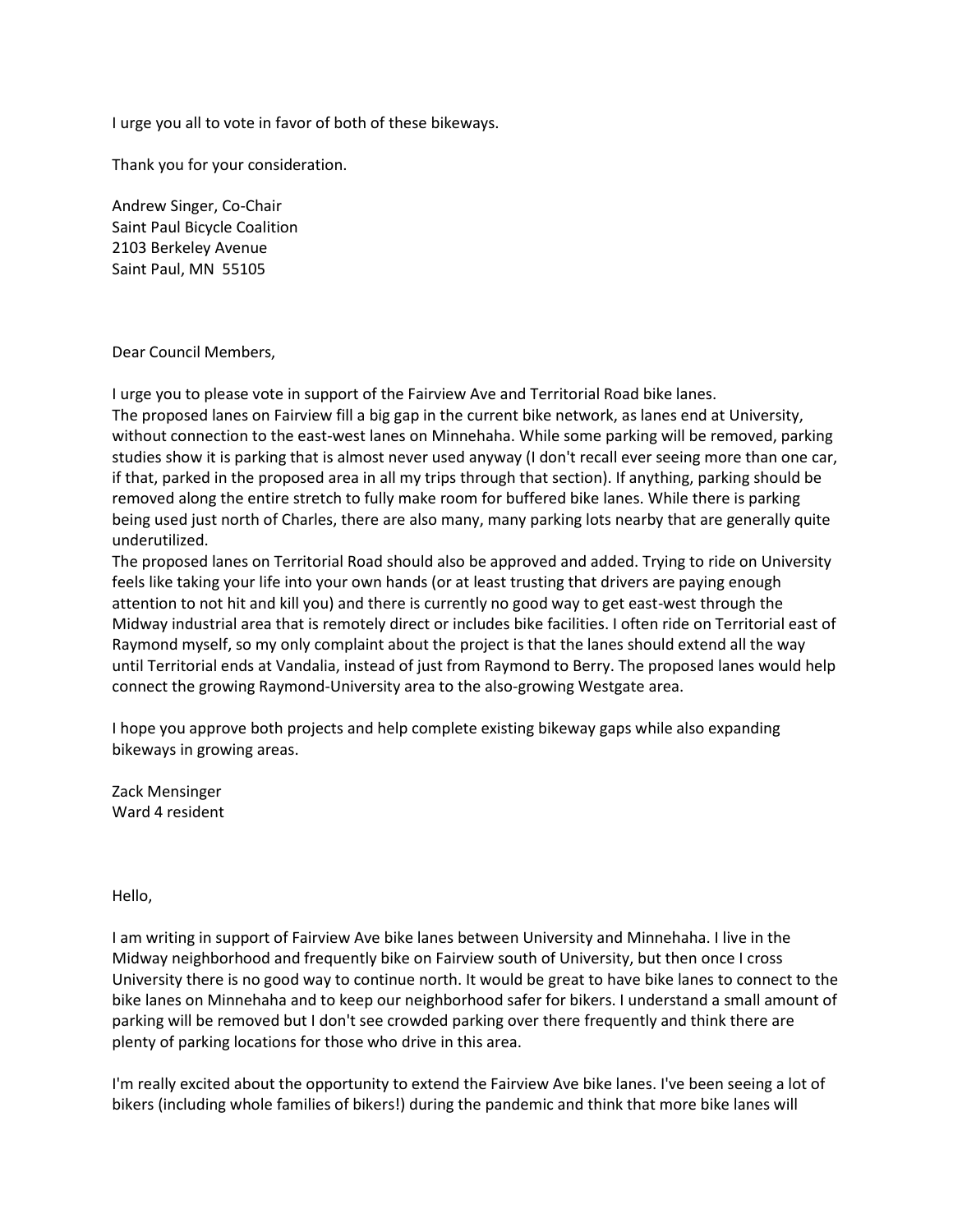I urge you all to vote in favor of both of these bikeways.

Thank you for your consideration.

Andrew Singer, Co-Chair Saint Paul Bicycle Coalition 2103 Berkeley Avenue Saint Paul, MN 55105

## Dear Council Members,

I urge you to please vote in support of the Fairview Ave and Territorial Road bike lanes. The proposed lanes on Fairview fill a big gap in the current bike network, as lanes end at University, without connection to the east-west lanes on Minnehaha. While some parking will be removed, parking studies show it is parking that is almost never used anyway (I don't recall ever seeing more than one car, if that, parked in the proposed area in all my trips through that section). If anything, parking should be removed along the entire stretch to fully make room for buffered bike lanes. While there is parking being used just north of Charles, there are also many, many parking lots nearby that are generally quite underutilized.

The proposed lanes on Territorial Road should also be approved and added. Trying to ride on University feels like taking your life into your own hands (or at least trusting that drivers are paying enough attention to not hit and kill you) and there is currently no good way to get east-west through the Midway industrial area that is remotely direct or includes bike facilities. I often ride on Territorial east of Raymond myself, so my only complaint about the project is that the lanes should extend all the way until Territorial ends at Vandalia, instead of just from Raymond to Berry. The proposed lanes would help connect the growing Raymond-University area to the also-growing Westgate area.

I hope you approve both projects and help complete existing bikeway gaps while also expanding bikeways in growing areas.

Zack Mensinger Ward 4 resident

Hello,

I am writing in support of Fairview Ave bike lanes between University and Minnehaha. I live in the Midway neighborhood and frequently bike on Fairview south of University, but then once I cross University there is no good way to continue north. It would be great to have bike lanes to connect to the bike lanes on Minnehaha and to keep our neighborhood safer for bikers. I understand a small amount of parking will be removed but I don't see crowded parking over there frequently and think there are plenty of parking locations for those who drive in this area.

I'm really excited about the opportunity to extend the Fairview Ave bike lanes. I've been seeing a lot of bikers (including whole families of bikers!) during the pandemic and think that more bike lanes will